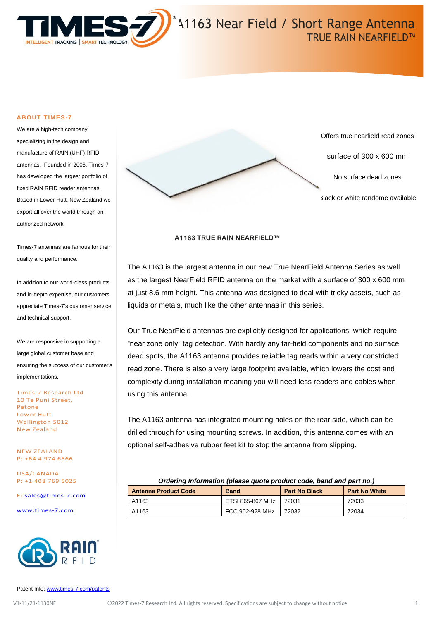

#### **ABOUT TIMES-7**

We are a high-tech company specializing in the design and manufacture of RAIN (UHF) RFID antennas. Founded in 2006, Times-7 has developed the largest portfolio of fixed RAIN RFID reader antennas. Based in Lower Hutt, New Zealand we export all over the world through an authorized network.

Times-7 antennas are famous for their quality and performance.

In addition to our world-class products and in-depth expertise, our customers appreciate Times-7's customer service and technical support.

We are responsive in supporting a large global customer base and ensuring the success of our customer's implementations.

Times-7 Research Ltd 10 Te Puni Street, Petone Lower Hutt Wellington 5012 New Zealand

NEW ZEALAND P: +64 4 974 6566

USA/CANADA P: +1 408 769 5025

E: [sales@times-7.com](mailto:sales@times-7.com)

[www.times-7.com](http://www.times-7.com/)





#### **A1163 TRUE RAIN NEARFIELD™**

The A1163 is the largest antenna in our new True NearField Antenna Series as well as the largest NearField RFID antenna on the market with a surface of 300 x 600 mm at just 8.6 mm height. This antenna was designed to deal with tricky assets, such as liquids or metals, much like the other antennas in this series.

Our True NearField antennas are explicitly designed for applications, which require "near zone only" tag detection. With hardly any far-field components and no surface dead spots, the A1163 antenna provides reliable tag reads within a very constricted read zone. There is also a very large footprint available, which lowers the cost and complexity during installation meaning you will need less readers and cables when using this antenna.

The A1163 antenna has integrated mounting holes on the rear side, which can be drilled through for using mounting screws. In addition, this antenna comes with an optional self-adhesive rubber feet kit to stop the antenna from slipping.

| Ordering Information (please quote product code, band and part no.) |                          |                      |                      |
|---------------------------------------------------------------------|--------------------------|----------------------|----------------------|
| <b>Antenna Product Code</b>                                         | <b>Band</b>              | <b>Part No Black</b> | <b>Part No White</b> |
| A1163                                                               | ETSI 865-867 MHz   72031 |                      | 72033                |
| A1163                                                               | FCC 902-928 MHz          | 72032                | 72034                |

Patent Info[: www.times-7.com/patents](http://www.times-7.com/patents)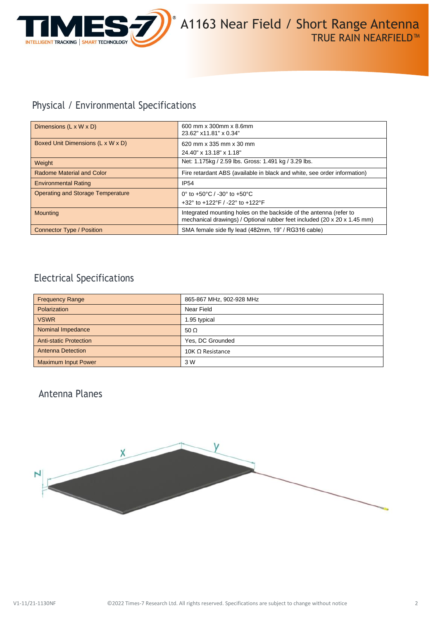

# Physical / Environmental Specifications

| Dimensions $(L \times W \times D)$       | 600 mm x 300mm x 8.6mm<br>23.62" x11.81" x 0.34"                                                                                               |  |
|------------------------------------------|------------------------------------------------------------------------------------------------------------------------------------------------|--|
| Boxed Unit Dimensions (L x W x D)        | 620 mm x 335 mm x 30 mm                                                                                                                        |  |
|                                          | 24.40" x 13.18" x 1.18"                                                                                                                        |  |
| Weight                                   | Net: 1.175kg / 2.59 lbs. Gross: 1.491 kg / 3.29 lbs.                                                                                           |  |
| Radome Material and Color                | Fire retardant ABS (available in black and white, see order information)                                                                       |  |
| <b>Environmental Rating</b>              | <b>IP54</b>                                                                                                                                    |  |
| <b>Operating and Storage Temperature</b> | 0° to +50°C / -30° to +50°C                                                                                                                    |  |
|                                          | +32° to +122°F / -22° to +122°F                                                                                                                |  |
| <b>Mounting</b>                          | Integrated mounting holes on the backside of the antenna (refer to<br>mechanical drawings) / Optional rubber feet included (20 x 20 x 1.45 mm) |  |
| Connector Type / Position                | SMA female side fly lead (482mm, 19" / RG316 cable)                                                                                            |  |

## Electrical Specifications

| <b>Frequency Range</b>        | 865-867 MHz, 902-928 MHz |
|-------------------------------|--------------------------|
| Polarization                  | Near Field               |
| <b>VSWR</b>                   | 1.95 typical             |
| Nominal Impedance             | 50 $\Omega$              |
| <b>Anti-static Protection</b> | Yes, DC Grounded         |
| <b>Antenna Detection</b>      | 10K $\Omega$ Resistance  |
| <b>Maximum Input Power</b>    | 3 W                      |

## Antenna Planes

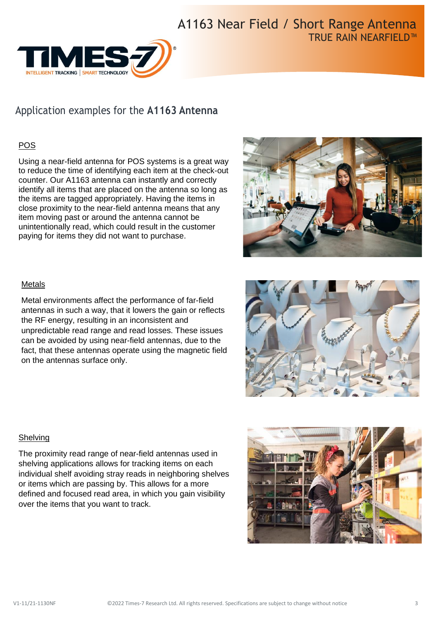

# Application examples for the **A1163 Antenna**

### POS

Using a near-field antenna for POS systems is a great way to reduce the time of identifying each item at the check-out counter. Our A1163 antenna can instantly and correctly identify all items that are placed on the antenna so long as the items are tagged appropriately. Having the items in close proximity to the near-field antenna means that any item moving past or around the antenna cannot be unintentionally read, which could result in the customer paying for items they did not want to purchase.



### Metals

Metal environments affect the performance of far-field antennas in such a way, that it lowers the gain or reflects the RF energy, resulting in an inconsistent and unpredictable read range and read losses. These issues can be avoided by using near-field antennas, due to the fact, that these antennas operate using the magnetic field on the antennas surface only.



### **Shelving**

The proximity read range of near-field antennas used in shelving applications allows for tracking items on each individual shelf avoiding stray reads in neighboring shelves or items which are passing by. This allows for a more defined and focused read area, in which you gain visibility over the items that you want to track.

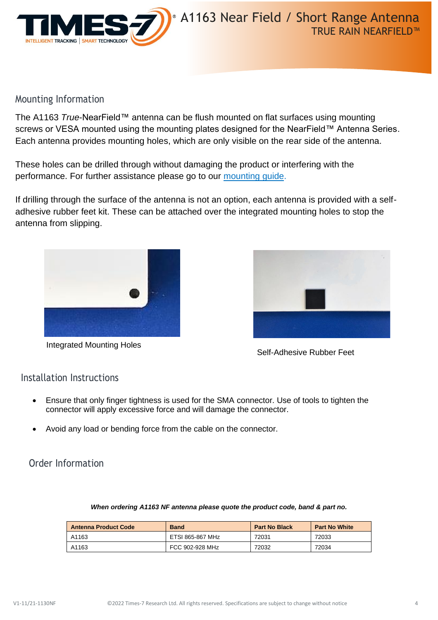

## Mounting Information

The A1163 *True*-NearField™ antenna can be flush mounted on flat surfaces using mounting screws or VESA mounted using the mounting plates designed for the NearField™ Antenna Series. Each antenna provides mounting holes, which are only visible on the rear side of the antenna.

These holes can be drilled through without damaging the product or interfering with the performance. For further assistance please go to our [mounting guide.](https://times-7.com/T7%20Mounting%20Instruction%20Guide%20Flat%20Radome%20and%20Pictureframe%20Antennas%20v2.pdf)

If drilling through the surface of the antenna is not an option, each antenna is provided with a selfadhesive rubber feet kit. These can be attached over the integrated mounting holes to stop the antenna from slipping.



Integrated Mounting Holes



Self-Adhesive Rubber Feet

## Installation Instructions

- Ensure that only finger tightness is used for the SMA connector. Use of tools to tighten the connector will apply excessive force and will damage the connector.
- Avoid any load or bending force from the cable on the connector.

Order Information

| <b>Antenna Product Code</b> | <b>Band</b>      | <b>Part No Black</b> | <b>Part No White</b> |
|-----------------------------|------------------|----------------------|----------------------|
| A1163                       | ETSI 865-867 MHz | 72031                | 72033                |
| A1163                       | FCC 902-928 MHz  | 72032                | 72034                |

### *When ordering A1163 NF antenna please quote the product code, band & part no.*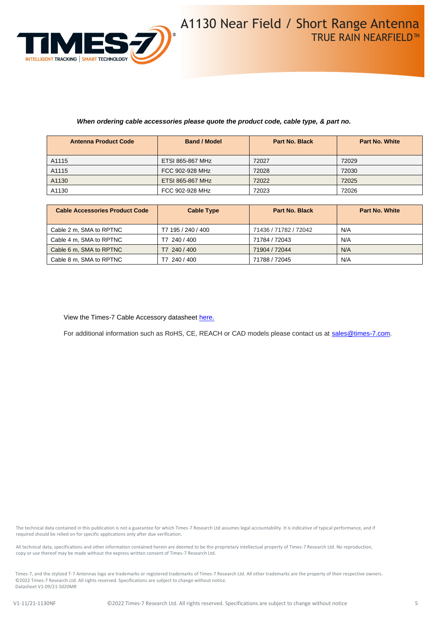

#### *When ordering cable accessories please quote the product code, cable type, & part no.*

| <b>Antenna Product Code</b> | <b>Band / Model</b>     | <b>Part No. Black</b> | <b>Part No. White</b> |
|-----------------------------|-------------------------|-----------------------|-----------------------|
| A1115                       | ETSI 865-867 MHz        | 72027                 | 72029                 |
| A1115                       | FCC 902-928 MHz         | 72028                 | 72030                 |
| A1130                       | <b>ETSI 865-867 MHz</b> | 72022                 | 72025                 |
| A1130                       | FCC 902-928 MHz         | 72023                 | 72026                 |

| <b>Cable Accessories Product Code</b> | <b>Cable Type</b>  | <b>Part No. Black</b> | <b>Part No. White</b> |
|---------------------------------------|--------------------|-----------------------|-----------------------|
| Cable 2 m, SMA to RPTNC               | T7 195 / 240 / 400 | 71436 / 71782 / 72042 | N/A                   |
| Cable 4 m. SMA to RPTNC               | 240 / 400<br>Τ7    | 71784 / 72043         | N/A                   |
| Cable 6 m, SMA to RPTNC               | T7 240 / 400       | 71904 / 72044         | N/A                   |
| Cable 8 m, SMA to RPTNC               | 240 / 400          | 71788 / 72045         | N/A                   |

View the Times-7 Cable Accessory datashee[t here.](https://www.times-7.com/Cable%20Datasheet_v1.1_A4.pdf)

For additional information such as RoHS, CE, REACH or CAD models please contact us at [sales@times-7.com.](mailto:sales@times-7.com)

The technical data contained in this publication is not a guarantee for which Times-7 Research Ltd assumes legal accountability. It is indicative of typical performance, and if required should be relied on for specific applications only after due verification.

All technical data, specifications and other information contained herein are deemed to be the proprietary intellectual property of Times-7 Research Ltd. No reproduction, copy or use thereof may be made without the express written consent of Times-7 Research Ltd.

Times-7, and the stylized T-7 Antennas logo are trademarks or registered trademarks of Times-7 Research Ltd. All other trademarks are the property of their respective owners. ©2022 Times-7 Research Ltd. All rights reserved. Specifications are subject to change without notice. Datasheet V1-09/21-5020MR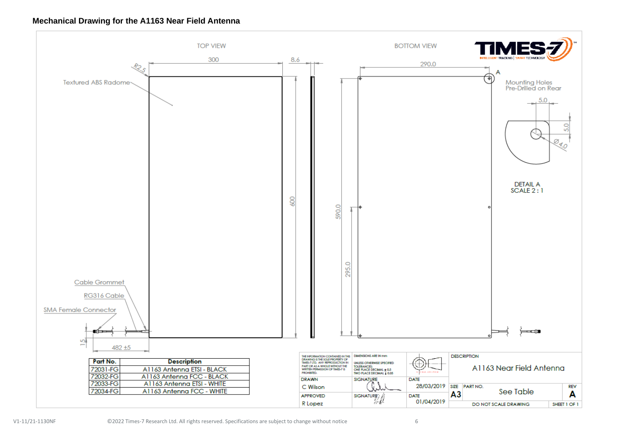#### **Mechanical Drawing for the A1163 Near Field Antenna**